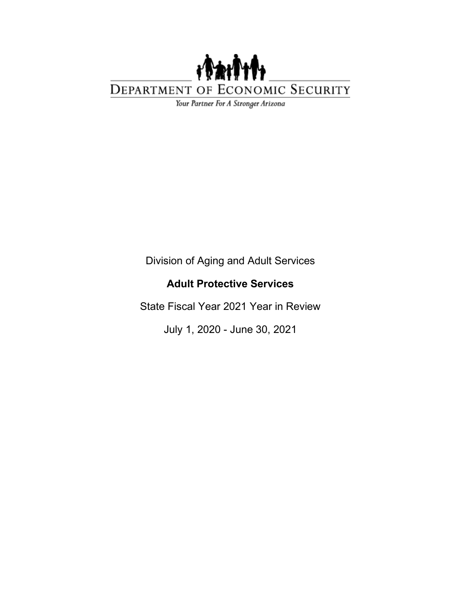

Your Partner For A Stronger Arizona

Division of Aging and Adult Services

#### **Adult Protective Services**

State Fiscal Year 2021 Year in Review

July 1, 2020 - June 30, 2021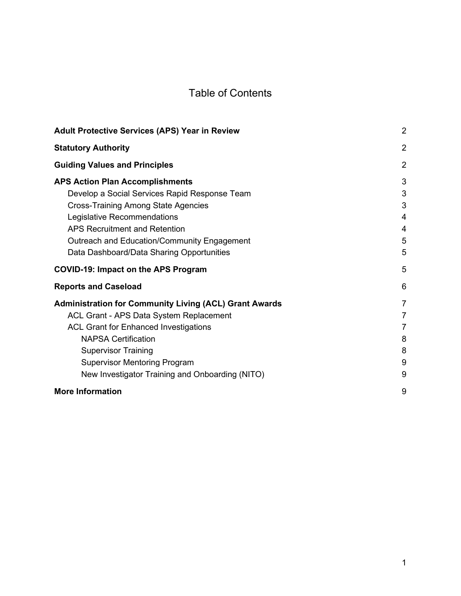### Table of Contents

| <b>Adult Protective Services (APS) Year in Review</b>                                                                                                                                                                                                                                                          | $\overline{2}$                                                         |
|----------------------------------------------------------------------------------------------------------------------------------------------------------------------------------------------------------------------------------------------------------------------------------------------------------------|------------------------------------------------------------------------|
| <b>Statutory Authority</b>                                                                                                                                                                                                                                                                                     | $\overline{2}$                                                         |
| <b>Guiding Values and Principles</b>                                                                                                                                                                                                                                                                           | $\overline{2}$                                                         |
| <b>APS Action Plan Accomplishments</b><br>Develop a Social Services Rapid Response Team<br><b>Cross-Training Among State Agencies</b><br>Legislative Recommendations<br><b>APS Recruitment and Retention</b><br>Outreach and Education/Community Engagement<br>Data Dashboard/Data Sharing Opportunities       | 3<br>3<br>3<br>$\overline{4}$<br>4<br>5<br>5                           |
| <b>COVID-19: Impact on the APS Program</b>                                                                                                                                                                                                                                                                     | 5                                                                      |
| <b>Reports and Caseload</b>                                                                                                                                                                                                                                                                                    | 6                                                                      |
| <b>Administration for Community Living (ACL) Grant Awards</b><br>ACL Grant - APS Data System Replacement<br><b>ACL Grant for Enhanced Investigations</b><br><b>NAPSA Certification</b><br><b>Supervisor Training</b><br><b>Supervisor Mentoring Program</b><br>New Investigator Training and Onboarding (NITO) | $\overline{7}$<br>$\overline{7}$<br>$\overline{7}$<br>8<br>8<br>9<br>9 |
| <b>More Information</b>                                                                                                                                                                                                                                                                                        | 9                                                                      |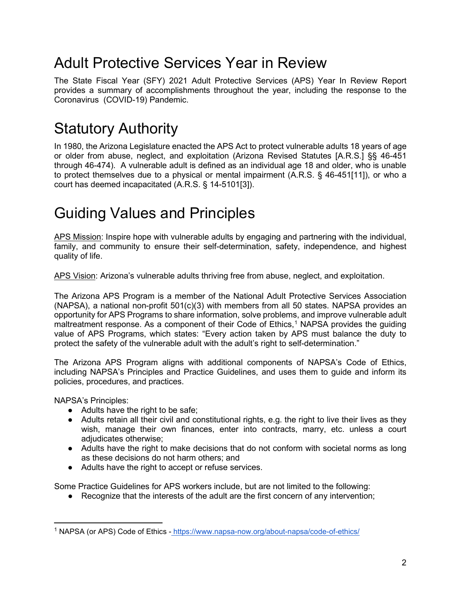## <span id="page-2-0"></span>Adult Protective Services Year in Review

The State Fiscal Year (SFY) 2021 Adult Protective Services (APS) Year In Review Report provides a summary of accomplishments throughout the year, including the response to the Coronavirus (COVID-19) Pandemic.

## <span id="page-2-1"></span>Statutory Authority

In 1980, the Arizona Legislature enacted the APS Act to protect vulnerable adults 18 years of age or older from abuse, neglect, and exploitation (Arizona Revised Statutes [A.R.S.] §§ 46-451 through 46-474). A vulnerable adult is defined as an individual age 18 and older, who is unable to protect themselves due to a physical or mental impairment (A.R.S. § 46-451[11]), or who a court has deemed incapacitated (A.R.S. § 14-5101[3]).

# <span id="page-2-2"></span>Guiding Values and Principles

APS Mission: Inspire hope with vulnerable adults by engaging and partnering with the individual, family, and community to ensure their self-determination, safety, independence, and highest quality of life.

APS Vision: Arizona's vulnerable adults thriving free from abuse, neglect, and exploitation.

The Arizona APS Program is a member of the National Adult Protective Services Association (NAPSA), a national non-profit 501(c)(3) with members from all 50 states. NAPSA provides an opportunity for APS Programs to share information, solve problems, and improve vulnerable adult maltreatment response. As a component of their Code of Ethics,<sup>[1](#page-2-3)</sup> NAPSA provides the guiding value of APS Programs, which states: "Every action taken by APS must balance the duty to protect the safety of the vulnerable adult with the adult's right to self-determination."

The Arizona APS Program aligns with additional components of NAPSA's Code of Ethics, including NAPSA's Principles and Practice Guidelines, and uses them to guide and inform its policies, procedures, and practices.

NAPSA's Principles:

- Adults have the right to be safe;
- Adults retain all their civil and constitutional rights, e.g. the right to live their lives as they wish, manage their own finances, enter into contracts, marry, etc. unless a court adjudicates otherwise;
- Adults have the right to make decisions that do not conform with societal norms as long as these decisions do not harm others; and
- Adults have the right to accept or refuse services.

Some Practice Guidelines for APS workers include, but are not limited to the following:

• Recognize that the interests of the adult are the first concern of any intervention;

<span id="page-2-3"></span><sup>1</sup> NAPSA (or APS) Code of Ethics - <https://www.napsa-now.org/about-napsa/code-of-ethics/>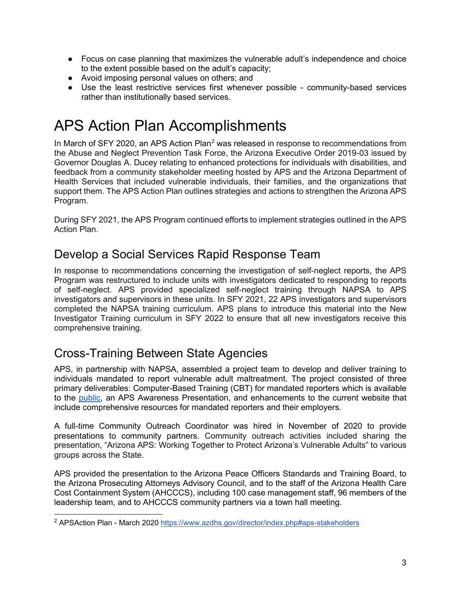- Focus on case planning that maximizes the vulnerable adult's independence and choice to the extent possible based on the adult's capacity;
- Avoid imposing personal values on others; and
- Use the least restrictive services first whenever possible community-based services rather than institutionally based services.

# <span id="page-3-0"></span>APS Action Plan Accomplishments

In March of SFY [2](#page-3-3)020, an APS Action Plan<sup>2</sup> was released in response to recommendations from the Abuse and Neglect Prevention Task Force, the Arizona Executive Order 2019-03 issued by Governor Douglas A. Ducey relating to enhanced protections for individuals with disabilities, and feedback from a community stakeholder meeting hosted by APS and the Arizona Department of Health Services that included vulnerable individuals, their families, and the organizations that support them. The APS Action Plan outlines strategies and actions to strengthen the Arizona APS Program.

During SFY 2021, the APS Program continued efforts to implement strategies outlined in the APS Action Plan.

#### <span id="page-3-1"></span>Develop a Social Services Rapid Response Team

In response to recommendations concerning the investigation of self-neglect reports, the APS Program was restructured to include units with investigators dedicated to responding to reports of self-neglect. APS provided specialized self-neglect training through NAPSA to APS investigators and supervisors in these units. In SFY 2021, 22 APS investigators and supervisors completed the NAPSA training curriculum. APS plans to introduce this material into the New Investigator Training curriculum in SFY 2022 to ensure that all new investigators receive this comprehensive training.

### <span id="page-3-2"></span>Cross-Training Between State Agencies

APS, in partnership with NAPSA, assembled a project team to develop and deliver training to individuals mandated to report vulnerable adult maltreatment. The project consisted of three primary deliverables: Computer-Based Training (CBT) for mandated reporters which is available to the [public,](https://des.az.gov/services/basic-needs/adult-protective-services-aps/training-education-and-outreach) an APS Awareness Presentation, and enhancements to the current website that include comprehensive resources for mandated reporters and their employers.

A full-time Community Outreach Coordinator was hired in November of 2020 to provide presentations to community partners. Community outreach activities included sharing the presentation, "Arizona APS: Working Together to Protect Arizona's Vulnerable Adults" to various groups across the State.

APS provided the presentation to the Arizona Peace Officers Standards and Training Board, to the Arizona Prosecuting Attorneys Advisory Council, and to the staff of the Arizona Health Care Cost Containment System (AHCCCS), including 100 case management staff, 96 members of the leadership team, and to AHCCCS community partners via a town hall meeting.

<span id="page-3-3"></span><sup>&</sup>lt;sup>2</sup> APSAction Plan - March 2020<https://www.azdhs.gov/director/index.php#aps-stakeholders>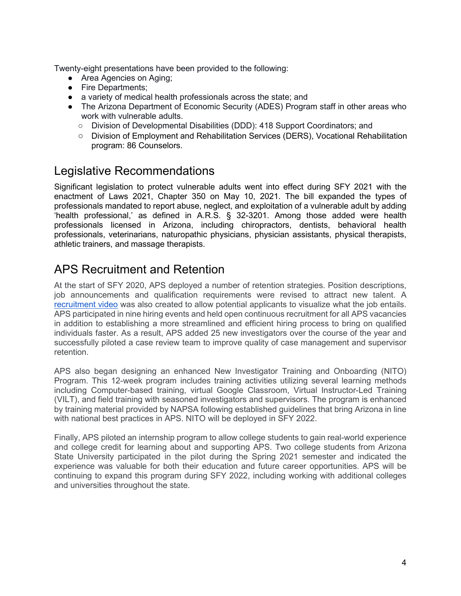Twenty-eight presentations have been provided to the following:

- Area Agencies on Aging;
- Fire Departments;
- a variety of medical health professionals across the state; and
- The Arizona Department of Economic Security (ADES) Program staff in other areas who work with vulnerable adults.
	- Division of Developmental Disabilities (DDD): 418 Support Coordinators; and
	- Division of Employment and Rehabilitation Services (DERS), Vocational Rehabilitation program: 86 Counselors.

#### <span id="page-4-0"></span>Legislative Recommendations

Significant legislation to protect vulnerable adults went into effect during SFY 2021 with the enactment of Laws 2021, Chapter 350 on May 10, 2021. The bill expanded the types of professionals mandated to report abuse, neglect, and exploitation of a vulnerable adult by adding 'health professional,' as defined in A.R.S. § 32-3201. Among those added were health professionals licensed in Arizona, including chiropractors, dentists, behavioral health professionals, veterinarians, naturopathic physicians, physician assistants, physical therapists, athletic trainers, and massage therapists.

#### <span id="page-4-1"></span>APS Recruitment and Retention

At the start of SFY 2020, APS deployed a number of retention strategies. Position descriptions, job announcements and qualification requirements were revised to attract new talent. A [recruitment video](https://des.az.gov/services/basic-needs/adult-protective-services/report-adult-abuse) was also created to allow potential applicants to visualize what the job entails. APS participated in nine hiring events and held open continuous recruitment for all APS vacancies in addition to establishing a more streamlined and efficient hiring process to bring on qualified individuals faster. As a result, APS added 25 new investigators over the course of the year and successfully piloted a case review team to improve quality of case management and supervisor retention.

APS also began designing an enhanced New Investigator Training and Onboarding (NITO) Program. This 12-week program includes training activities utilizing several learning methods including Computer-based training, virtual Google Classroom, Virtual Instructor-Led Training (VILT), and field training with seasoned investigators and supervisors. The program is enhanced by training material provided by NAPSA following established guidelines that bring Arizona in line with national best practices in APS. NITO will be deployed in SFY 2022.

Finally, APS piloted an internship program to allow college students to gain real-world experience and college credit for learning about and supporting APS. Two college students from Arizona State University participated in the pilot during the Spring 2021 semester and indicated the experience was valuable for both their education and future career opportunities. APS will be continuing to expand this program during SFY 2022, including working with additional colleges and universities throughout the state.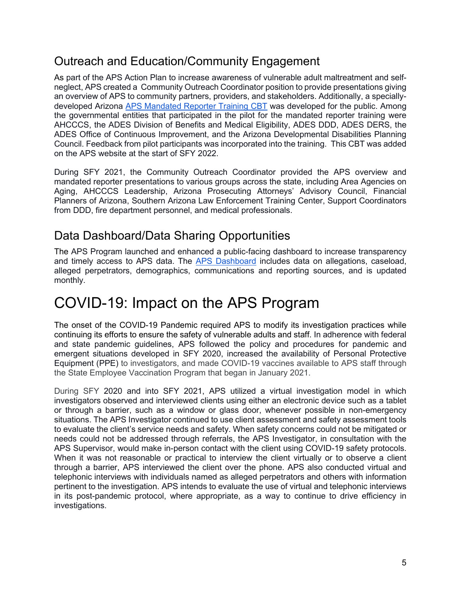#### <span id="page-5-0"></span>Outreach and Education/Community Engagement

As part of the APS Action Plan to increase awareness of vulnerable adult maltreatment and selfneglect, APS created a Community Outreach Coordinator position to provide presentations giving an overview of APS to community partners, providers, and stakeholders. Additionally, a speciallydeveloped Arizona [APS Mandated Reporter Training CBT](https://des.az.gov/services/basic-needs/adult-protective-services-aps/training-education-and-outreach) was developed for the public. Among the governmental entities that participated in the pilot for the mandated reporter training were AHCCCS, the ADES Division of Benefits and Medical Eligibility, ADES DDD, ADES DERS, the ADES Office of Continuous Improvement, and the Arizona Developmental Disabilities Planning Council. Feedback from pilot participants was incorporated into the training. This CBT was added on the APS website at the start of SFY 2022.

During SFY 2021, the Community Outreach Coordinator provided the APS overview and mandated reporter presentations to various groups across the state, including Area Agencies on Aging, AHCCCS Leadership, Arizona Prosecuting Attorneys' Advisory Council, Financial Planners of Arizona, Southern Arizona Law Enforcement Training Center, Support Coordinators from DDD, fire department personnel, and medical professionals.

#### <span id="page-5-1"></span>Data Dashboard/Data Sharing Opportunities

The APS Program launched and enhanced a public-facing dashboard to increase transparency and timely access to APS data. The [APS Dashboard](https://des.az.gov/APSData) includes data on allegations, caseload, alleged perpetrators, demographics, communications and reporting sources, and is updated monthly.

## <span id="page-5-2"></span>COVID-19: Impact on the APS Program

The onset of the COVID-19 Pandemic required APS to modify its investigation practices while continuing its efforts to ensure the safety of vulnerable adults and staff. In adherence with federal and state pandemic guidelines, APS followed the policy and procedures for pandemic and emergent situations developed in SFY 2020, increased the availability of Personal Protective Equipment (PPE) to investigators, and made COVID-19 vaccines available to APS staff through the State Employee Vaccination Program that began in January 2021.

During SFY 2020 and into SFY 2021, APS utilized a virtual investigation model in which investigators observed and interviewed clients using either an electronic device such as a tablet or through a barrier, such as a window or glass door, whenever possible in non-emergency situations. The APS Investigator continued to use client assessment and safety assessment tools to evaluate the client's service needs and safety. When safety concerns could not be mitigated or needs could not be addressed through referrals, the APS Investigator, in consultation with the APS Supervisor, would make in-person contact with the client using COVID-19 safety protocols. When it was not reasonable or practical to interview the client virtually or to observe a client through a barrier, APS interviewed the client over the phone. APS also conducted virtual and telephonic interviews with individuals named as alleged perpetrators and others with information pertinent to the investigation. APS intends to evaluate the use of virtual and telephonic interviews in its post-pandemic protocol, where appropriate, as a way to continue to drive efficiency in investigations.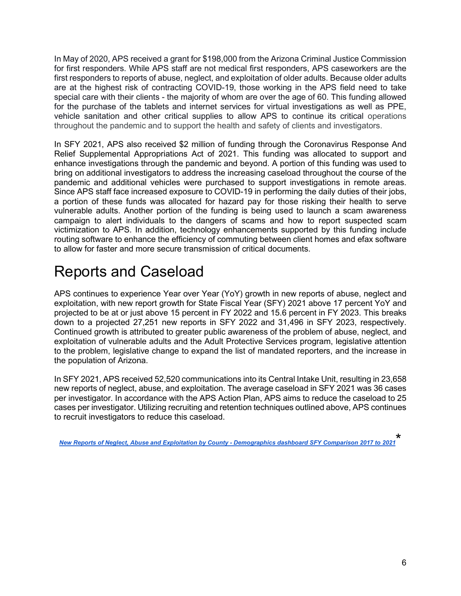In May of 2020, APS received a grant for \$198,000 from the Arizona Criminal Justice Commission for first responders. While APS staff are not medical first responders, APS caseworkers are the first responders to reports of abuse, neglect, and exploitation of older adults. Because older adults are at the highest risk of contracting COVID-19, those working in the APS field need to take special care with their clients - the majority of whom are over the age of 60. This funding allowed for the purchase of the tablets and internet services for virtual investigations as well as PPE, vehicle sanitation and other critical supplies to allow APS to continue its critical operations throughout the pandemic and to support the health and safety of clients and investigators.

In SFY 2021, APS also received \$2 million of funding through the Coronavirus Response And Relief Supplemental Appropriations Act of 2021. This funding was allocated to support and enhance investigations through the pandemic and beyond. A portion of this funding was used to bring on additional investigators to address the increasing caseload throughout the course of the pandemic and additional vehicles were purchased to support investigations in remote areas. Since APS staff face increased exposure to COVID-19 in performing the daily duties of their jobs, a portion of these funds was allocated for hazard pay for those risking their health to serve vulnerable adults. Another portion of the funding is being used to launch a scam awareness campaign to alert individuals to the dangers of scams and how to report suspected scam victimization to APS. In addition, technology enhancements supported by this funding include routing software to enhance the efficiency of commuting between client homes and efax software to allow for faster and more secure transmission of critical documents.

# <span id="page-6-0"></span>Reports and Caseload

APS continues to experience Year over Year (YoY) growth in new reports of abuse, neglect and exploitation, with new report growth for State Fiscal Year (SFY) 2021 above 17 percent YoY and projected to be at or just above 15 percent in FY 2022 and 15.6 percent in FY 2023. This breaks down to a projected 27,251 new reports in SFY 2022 and 31,496 in SFY 2023, respectively. Continued growth is attributed to greater public awareness of the problem of abuse, neglect, and exploitation of vulnerable adults and the Adult Protective Services program, legislative attention to the problem, legislative change to expand the list of mandated reporters, and the increase in the population of Arizona.

In SFY 2021, APS received 52,520 communications into its Central Intake Unit, resulting in 23,658 new reports of neglect, abuse, and exploitation. The average caseload in SFY 2021 was 36 cases per investigator. In accordance with the APS Action Plan, APS aims to reduce the caseload to 25 cases per investigator. Utilizing recruiting and retention techniques outlined above, APS continues to recruit investigators to reduce this caseload.

*New Reports [of Neglect, Abuse and Exploitation by County - Demographics dashboard SFY Comparison 2017 to 2021](https://des.az.gov/APSData)* \*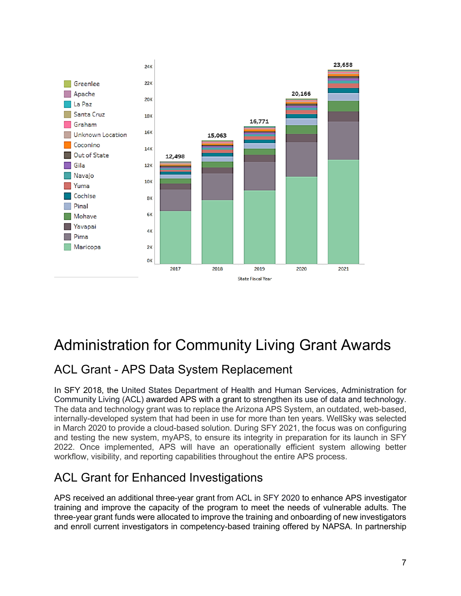

# <span id="page-7-0"></span>Administration for Community Living Grant Awards

### <span id="page-7-1"></span>ACL Grant - APS Data System Replacement

In SFY 2018, the United States Department of Health and Human Services, Administration for Community Living (ACL) awarded APS with a grant to strengthen its use of data and technology. The data and technology grant was to replace the Arizona APS System, an outdated, web-based, internally-developed system that had been in use for more than ten years. WellSky was selected in March 2020 to provide a cloud-based solution. During SFY 2021, the focus was on configuring and testing the new system, myAPS, to ensure its integrity in preparation for its launch in SFY 2022. Once implemented, APS will have an operationally efficient system allowing better workflow, visibility, and reporting capabilities throughout the entire APS process.

### <span id="page-7-2"></span>ACL Grant for Enhanced Investigations

APS received an additional three-year grant from ACL in SFY 2020 to enhance APS investigator training and improve the capacity of the program to meet the needs of vulnerable adults. The three-year grant funds were allocated to improve the training and onboarding of new investigators and enroll current investigators in competency-based training offered by NAPSA. In partnership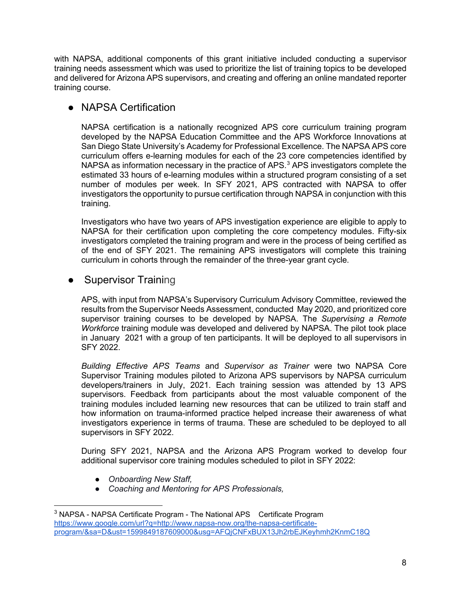with NAPSA, additional components of this grant initiative included conducting a supervisor training needs assessment which was used to prioritize the list of training topics to be developed and delivered for Arizona APS supervisors, and creating and offering an online mandated reporter training course.

#### <span id="page-8-0"></span>● NAPSA Certification

NAPSA certification is a nationally recognized APS core curriculum training program developed by the NAPSA Education Committee and the APS Workforce Innovations at San Diego State University's Academy for Professional Excellence. The NAPSA APS core curriculum offers e-learning modules for each of the 23 core competencies identified by NAPSA as information necessary in the practice of APS. $3$  APS investigators complete the estimated 33 hours of e-learning modules within a structured program consisting of a set number of modules per week. In SFY 2021, APS contracted with NAPSA to offer investigators the opportunity to pursue certification through NAPSA in conjunction with this training.

Investigators who have two years of APS investigation experience are eligible to apply to NAPSA for their certification upon completing the core competency modules. Fifty-six investigators completed the training program and were in the process of being certified as of the end of SFY 2021. The remaining APS investigators will complete this training curriculum in cohorts through the remainder of the three-year grant cycle.

#### <span id="page-8-1"></span>• Supervisor Training

APS, with input from NAPSA's Supervisory Curriculum Advisory Committee, reviewed the results from the Supervisor Needs Assessment, conducted May 2020, and prioritized core supervisor training courses to be developed by NAPSA. The *Supervising a Remote Workforce* training module was developed and delivered by NAPSA. The pilot took place in January 2021 with a group of ten participants. It will be deployed to all supervisors in SFY 2022.

*Building Effective APS Teams* and *Supervisor as Trainer* were two NAPSA Core Supervisor Training modules piloted to Arizona APS supervisors by NAPSA curriculum developers/trainers in July, 2021. Each training session was attended by 13 APS supervisors. Feedback from participants about the most valuable component of the training modules included learning new resources that can be utilized to train staff and how information on trauma-informed practice helped increase their awareness of what investigators experience in terms of trauma. These are scheduled to be deployed to all supervisors in SFY 2022.

During SFY 2021, NAPSA and the Arizona APS Program worked to develop four additional supervisor core training modules scheduled to pilot in SFY 2022:

- *Onboarding New Staff,*
- *Coaching and Mentoring for APS Professionals,*

<span id="page-8-2"></span><sup>&</sup>lt;sup>3</sup> NAPSA - NAPSA Certificate Program - The National APS Certificate Program [https://www.google.com/url?q=http://www.napsa-now.org/the-napsa-certificate](http://www.napsa-now.org/the-napsa-certificate-program/)[program/&sa=D&ust=1599849187609000&usg=AFQjCNFxBUX13Jh2rbEJKeyhmh2KnmC18Q](http://www.napsa-now.org/the-napsa-certificate-program/)